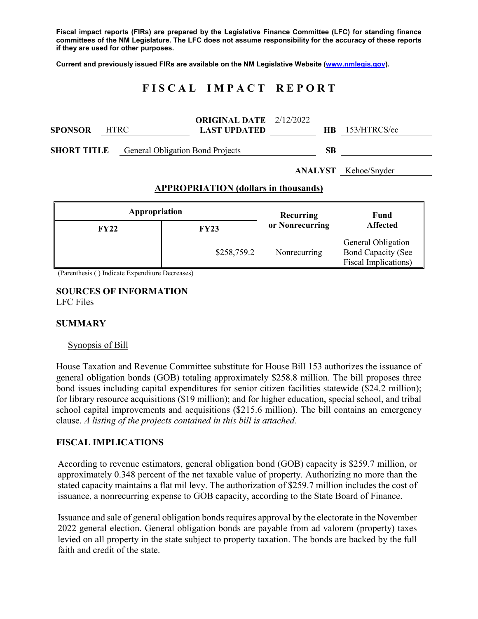**Fiscal impact reports (FIRs) are prepared by the Legislative Finance Committee (LFC) for standing finance committees of the NM Legislature. The LFC does not assume responsibility for the accuracy of these reports if they are used for other purposes.**

**Current and previously issued FIRs are available on the NM Legislative Website [\(www.nmlegis.gov\)](http://www.nmlegis.gov/).**

# **F I S C A L I M P A C T R E P O R T**

| <b>SPONSOR</b> | <b>HTRC</b>                             | <b>ORIGINAL DATE</b> 2/12/2022<br><b>LAST UPDATED</b> |    | <b>HB</b> 153/HTRCS/ec      |
|----------------|-----------------------------------------|-------------------------------------------------------|----|-----------------------------|
| SHORT TITLE    | <b>General Obligation Bond Projects</b> |                                                       | SB |                             |
|                |                                         |                                                       |    | <b>ANALYST</b> Kehoe/Snyder |

### **APPROPRIATION (dollars in thousands)**

| Appropriation |             | Recurring       | Fund<br><b>Affected</b>                                                         |  |
|---------------|-------------|-----------------|---------------------------------------------------------------------------------|--|
| <b>FY22</b>   | <b>FY23</b> | or Nonrecurring |                                                                                 |  |
|               | \$258,759.2 | Nonrecurring    | General Obligation<br><b>Bond Capacity (See</b><br><b>Fiscal Implications</b> ) |  |

(Parenthesis ( ) Indicate Expenditure Decreases)

### **SOURCES OF INFORMATION** LFC Files

### **SUMMARY**

#### Synopsis of Bill

House Taxation and Revenue Committee substitute for House Bill 153 authorizes the issuance of general obligation bonds (GOB) totaling approximately \$258.8 million. The bill proposes three bond issues including capital expenditures for senior citizen facilities statewide (\$24.2 million); for library resource acquisitions (\$19 million); and for higher education, special school, and tribal school capital improvements and acquisitions (\$215.6 million). The bill contains an emergency clause. *A listing of the projects contained in this bill is attached.*

### **FISCAL IMPLICATIONS**

According to revenue estimators, general obligation bond (GOB) capacity is \$259.7 million, or approximately 0.348 percent of the net taxable value of property. Authorizing no more than the stated capacity maintains a flat mil levy. The authorization of \$259.7 million includes the cost of issuance, a nonrecurring expense to GOB capacity, according to the State Board of Finance.

Issuance and sale of general obligation bonds requires approval by the electorate in the November 2022 general election. General obligation bonds are payable from ad valorem (property) taxes levied on all property in the state subject to property taxation. The bonds are backed by the full faith and credit of the state.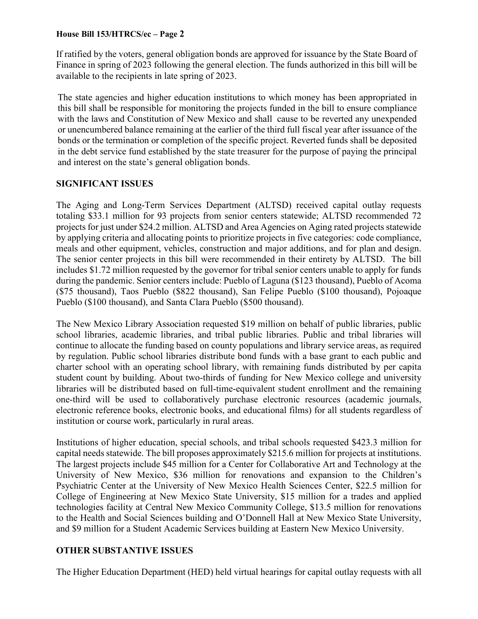## **House Bill 153/HTRCS/ec – Page 2**

If ratified by the voters, general obligation bonds are approved for issuance by the State Board of Finance in spring of 2023 following the general election. The funds authorized in this bill will be available to the recipients in late spring of 2023.

The state agencies and higher education institutions to which money has been appropriated in this bill shall be responsible for monitoring the projects funded in the bill to ensure compliance with the laws and Constitution of New Mexico and shall cause to be reverted any unexpended or unencumbered balance remaining at the earlier of the third full fiscal year after issuance of the bonds or the termination or completion of the specific project. Reverted funds shall be deposited in the debt service fund established by the state treasurer for the purpose of paying the principal and interest on the state's general obligation bonds.

## **SIGNIFICANT ISSUES**

The Aging and Long-Term Services Department (ALTSD) received capital outlay requests totaling \$33.1 million for 93 projects from senior centers statewide; ALTSD recommended 72 projects for just under \$24.2 million. ALTSD and Area Agencies on Aging rated projects statewide by applying criteria and allocating points to prioritize projects in five categories: code compliance, meals and other equipment, vehicles, construction and major additions, and for plan and design. The senior center projects in this bill were recommended in their entirety by ALTSD. The bill includes \$1.72 million requested by the governor for tribal senior centers unable to apply for funds during the pandemic. Senior centers include: Pueblo of Laguna (\$123 thousand), Pueblo of Acoma (\$75 thousand), Taos Pueblo (\$822 thousand), San Felipe Pueblo (\$100 thousand), Pojoaque Pueblo (\$100 thousand), and Santa Clara Pueblo (\$500 thousand).

The New Mexico Library Association requested \$19 million on behalf of public libraries, public school libraries, academic libraries, and tribal public libraries. Public and tribal libraries will continue to allocate the funding based on county populations and library service areas, as required by regulation. Public school libraries distribute bond funds with a base grant to each public and charter school with an operating school library, with remaining funds distributed by per capita student count by building. About two-thirds of funding for New Mexico college and university libraries will be distributed based on full-time-equivalent student enrollment and the remaining one-third will be used to collaboratively purchase electronic resources (academic journals, electronic reference books, electronic books, and educational films) for all students regardless of institution or course work, particularly in rural areas.

Institutions of higher education, special schools, and tribal schools requested \$423.3 million for capital needs statewide. The bill proposes approximately \$215.6 million for projects at institutions. The largest projects include \$45 million for a Center for Collaborative Art and Technology at the University of New Mexico, \$36 million for renovations and expansion to the Children's Psychiatric Center at the University of New Mexico Health Sciences Center, \$22.5 million for College of Engineering at New Mexico State University, \$15 million for a trades and applied technologies facility at Central New Mexico Community College, \$13.5 million for renovations to the Health and Social Sciences building and O'Donnell Hall at New Mexico State University, and \$9 million for a Student Academic Services building at Eastern New Mexico University.

## **OTHER SUBSTANTIVE ISSUES**

The Higher Education Department (HED) held virtual hearings for capital outlay requests with all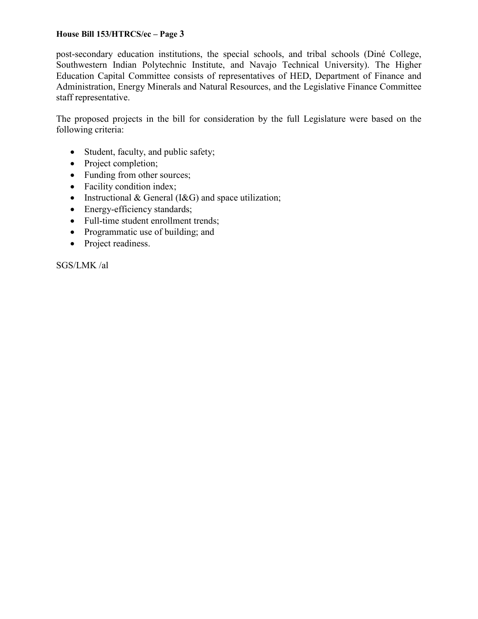## **House Bill 153/HTRCS/ec – Page 3**

post-secondary education institutions, the special schools, and tribal schools (Diné College, Southwestern Indian Polytechnic Institute, and Navajo Technical University). The Higher Education Capital Committee consists of representatives of HED, Department of Finance and Administration, Energy Minerals and Natural Resources, and the Legislative Finance Committee staff representative.

The proposed projects in the bill for consideration by the full Legislature were based on the following criteria:

- Student, faculty, and public safety;
- Project completion;
- Funding from other sources;
- Facility condition index;
- Instructional & General ( $1 \& G$ ) and space utilization;
- Energy-efficiency standards;
- Full-time student enrollment trends;
- Programmatic use of building; and
- Project readiness.

SGS/LMK /al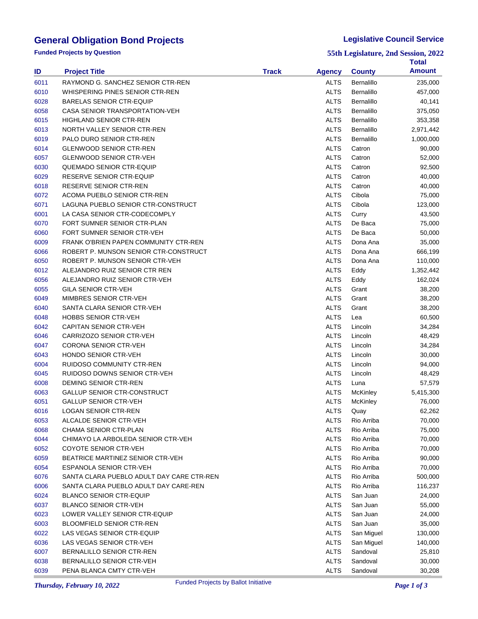# **General Obligation Bond Projects**

**Funded Projects by Question**

### **Legislative Council Service**

**55th Legislature, 2nd Session, 2022**

|      |                                              |              |               |               | Total             |
|------|----------------------------------------------|--------------|---------------|---------------|-------------------|
| ID   | <b>Project Title</b>                         | <b>Track</b> | <b>Agency</b> | <b>County</b> | <b>Amount</b>     |
| 6011 | RAYMOND G. SANCHEZ SENIOR CTR-REN            |              | <b>ALTS</b>   | Bernalillo    | 235,000           |
| 6010 | WHISPERING PINES SENIOR CTR-REN              |              | <b>ALTS</b>   | Bernalillo    | 457,000           |
| 6028 | <b>BARELAS SENIOR CTR-EQUIP</b>              |              | <b>ALTS</b>   | Bernalillo    | 40,141            |
| 6058 | CASA SENIOR TRANSPORTATION-VEH               |              | <b>ALTS</b>   | Bernalillo    | 375,050           |
| 6015 | <b>HIGHLAND SENIOR CTR-REN</b>               |              | <b>ALTS</b>   | Bernalillo    | 353,358           |
| 6013 | NORTH VALLEY SENIOR CTR-REN                  |              | <b>ALTS</b>   | Bernalillo    | 2,971,442         |
| 6019 | PALO DURO SENIOR CTR-REN                     |              | <b>ALTS</b>   | Bernalillo    | 1,000,000         |
| 6014 | <b>GLENWOOD SENIOR CTR-REN</b>               |              | <b>ALTS</b>   | Catron        | 90,000            |
| 6057 | <b>GLENWOOD SENIOR CTR-VEH</b>               |              | <b>ALTS</b>   | Catron        | 52,000            |
| 6030 | <b>QUEMADO SENIOR CTR-EQUIP</b>              |              | <b>ALTS</b>   | Catron        | 92,500            |
| 6029 | RESERVE SENIOR CTR-EQUIP                     |              | <b>ALTS</b>   | Catron        | 40,000            |
| 6018 | RESERVE SENIOR CTR-REN                       |              | <b>ALTS</b>   | Catron        | 40,000            |
| 6072 | ACOMA PUEBLO SENIOR CTR-REN                  |              | <b>ALTS</b>   | Cibola        | 75,000            |
| 6071 | LAGUNA PUEBLO SENIOR CTR-CONSTRUCT           |              | <b>ALTS</b>   | Cibola        | 123,000           |
| 6001 | LA CASA SENIOR CTR-CODECOMPLY                |              | <b>ALTS</b>   | Curry         | 43,500            |
| 6070 | FORT SUMNER SENIOR CTR-PLAN                  |              | <b>ALTS</b>   | De Baca       | 75,000            |
| 6060 | FORT SUMNER SENIOR CTR-VEH                   |              | <b>ALTS</b>   | De Baca       | 50,000            |
| 6009 | <b>FRANK O'BRIEN PAPEN COMMUNITY CTR-REN</b> |              | <b>ALTS</b>   | Dona Ana      | 35,000            |
| 6066 | ROBERT P. MUNSON SENIOR CTR-CONSTRUCT        |              | <b>ALTS</b>   | Dona Ana      | 666,199           |
| 6050 | ROBERT P. MUNSON SENIOR CTR-VEH              |              | <b>ALTS</b>   | Dona Ana      | 110,000           |
| 6012 | ALEJANDRO RUIZ SENIOR CTR REN                |              | <b>ALTS</b>   | Eddy          | 1,352,442         |
| 6056 | ALEJANDRO RUIZ SENIOR CTR-VEH                |              | <b>ALTS</b>   | Eddy          | 162,024           |
| 6055 | <b>GILA SENIOR CTR-VEH</b>                   |              | <b>ALTS</b>   | Grant         | 38,200            |
| 6049 | MIMBRES SENIOR CTR-VEH                       |              | <b>ALTS</b>   | Grant         | 38,200            |
| 6040 | SANTA CLARA SENIOR CTR-VEH                   |              | <b>ALTS</b>   | Grant         | 38,200            |
| 6048 | <b>HOBBS SENIOR CTR-VEH</b>                  |              | <b>ALTS</b>   | Lea           | 60,500            |
| 6042 | <b>CAPITAN SENIOR CTR-VEH</b>                |              | <b>ALTS</b>   | Lincoln       | 34,284            |
| 6046 | CARRIZOZO SENIOR CTR-VEH                     |              | <b>ALTS</b>   | Lincoln       | 48,429            |
| 6047 | <b>CORONA SENIOR CTR-VEH</b>                 |              | <b>ALTS</b>   | Lincoln       | 34,284            |
| 6043 | HONDO SENIOR CTR-VEH                         |              | <b>ALTS</b>   | Lincoln       | 30,000            |
| 6004 | RUIDOSO COMMUNITY CTR-REN                    |              | <b>ALTS</b>   | Lincoln       | 94,000            |
| 6045 | RUIDOSO DOWNS SENIOR CTR-VEH                 |              | <b>ALTS</b>   | Lincoln       | 48,429            |
| 6008 | DEMING SENIOR CTR-REN                        |              | <b>ALTS</b>   | Luna          | 57,579            |
| 6063 | <b>GALLUP SENIOR CTR-CONSTRUCT</b>           |              | <b>ALTS</b>   | McKinley      | 5,415,300         |
| 6051 | <b>GALLUP SENIOR CTR-VEH</b>                 |              | <b>ALTS</b>   | McKinley      | 76,000            |
| 6016 | <b>LOGAN SENIOR CTR-REN</b>                  |              | <b>ALTS</b>   | Quay          | 62,262            |
| 6053 | ALCALDE SENIOR CTR-VEH                       |              | ALTS          | Rio Arriba    | 70,000            |
| 6068 | CHAMA SENIOR CTR-PLAN                        |              | <b>ALTS</b>   | Rio Arriba    | 75,000            |
| 6044 | CHIMAYO LA ARBOLEDA SENIOR CTR-VEH           |              | <b>ALTS</b>   | Rio Arriba    | 70,000            |
| 6052 | COYOTE SENIOR CTR-VEH                        |              | <b>ALTS</b>   | Rio Arriba    | 70,000            |
| 6059 | BEATRICE MARTINEZ SENIOR CTR-VEH             |              | <b>ALTS</b>   | Rio Arriba    | 90,000            |
| 6054 | ESPANOLA SENIOR CTR-VEH                      |              | <b>ALTS</b>   | Rio Arriba    | 70,000            |
| 6076 | SANTA CLARA PUEBLO ADULT DAY CARE CTR-REN    |              | <b>ALTS</b>   | Rio Arriba    | 500,000           |
| 6006 | SANTA CLARA PUEBLO ADULT DAY CARE-REN        |              | <b>ALTS</b>   | Rio Arriba    | 116,237           |
| 6024 | <b>BLANCO SENIOR CTR-EQUIP</b>               |              | <b>ALTS</b>   | San Juan      | 24,000            |
| 6037 | <b>BLANCO SENIOR CTR-VEH</b>                 |              | <b>ALTS</b>   | San Juan      | 55,000            |
| 6023 | LOWER VALLEY SENIOR CTR-EQUIP                |              | <b>ALTS</b>   | San Juan      | 24,000            |
| 6003 | <b>BLOOMFIELD SENIOR CTR-REN</b>             |              | <b>ALTS</b>   | San Juan      | 35,000            |
| 6022 | LAS VEGAS SENIOR CTR-EQUIP                   |              | <b>ALTS</b>   | San Miguel    |                   |
| 6036 | LAS VEGAS SENIOR CTR-VEH                     |              | <b>ALTS</b>   | San Miguel    | 130,000           |
| 6007 | BERNALILLO SENIOR CTR-REN                    |              | <b>ALTS</b>   | Sandoval      | 140,000<br>25,810 |
| 6038 | BERNALILLO SENIOR CTR-VEH                    |              | <b>ALTS</b>   | Sandoval      | 30,000            |
| 6039 | PENA BLANCA CMTY CTR-VEH                     |              | <b>ALTS</b>   | Sandoval      | 30,208            |
|      |                                              |              |               |               |                   |

**Thursday, February 10, 2022 Page 1 of 3** Funded Projects by Ballot Initiative **Page 1 of 3** Page 1 of 3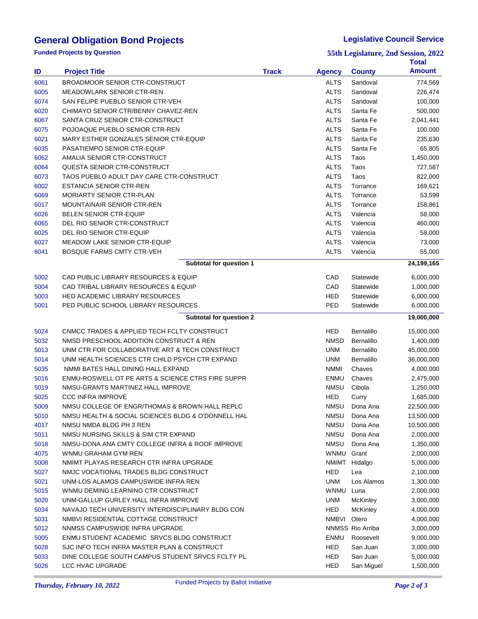# **General Obligation Bond Projects**

**Funded Projects by Question**

#### **Legislative Council Service**

**55th Legislature, 2nd Session, 2022**

|      |                                                    |              |               |                   | Total         |
|------|----------------------------------------------------|--------------|---------------|-------------------|---------------|
| ID   | <b>Project Title</b>                               | <b>Track</b> | <b>Agency</b> | <b>County</b>     | <b>Amount</b> |
| 6061 | <b>BROADMOOR SENIOR CTR-CONSTRUCT</b>              |              | ALTS          | Sandoval          | 774,569       |
| 6005 | <b>MEADOWLARK SENIOR CTR-REN</b>                   |              | ALTS          | Sandoval          | 226,474       |
| 6074 | SAN FELIPE PUEBLO SENIOR CTR-VEH                   |              | ALTS          | Sandoval          | 100,000       |
| 6020 | CHIMAYO SENIOR CTR/BENNY CHAVEZ-REN                |              | ALTS          | Santa Fe          | 500,000       |
| 6067 | SANTA CRUZ SENIOR CTR-CONSTRUCT                    |              | ALTS          | Santa Fe          | 2,041,441     |
| 6075 | POJOAQUE PUEBLO SENIOR CTR-REN                     |              | ALTS          | Santa Fe          | 100,000       |
| 6021 | MARY ESTHER GONZALES SENIOR CTR-EQUIP              |              | <b>ALTS</b>   | Santa Fe          | 235,630       |
| 6035 | PASATIEMPO SENIOR CTR-EQUIP                        |              | ALTS          | Santa Fe          | 65,805        |
| 6062 | AMALIA SENIOR CTR-CONSTRUCT                        |              | ALTS          | Taos              | 1,450,000     |
| 6064 | QUESTA SENIOR CTR-CONSTRUCT                        |              | ALTS          | Taos              | 727,587       |
| 6073 | TAOS PUEBLO ADULT DAY CARE CTR-CONSTRUCT           |              | ALTS          | Taos              | 822,000       |
| 6002 | <b>ESTANCIA SENIOR CTR-REN</b>                     |              | ALTS          | Torrance          | 169,621       |
| 6069 | <b>MORIARTY SENIOR CTR-PLAN</b>                    |              | ALTS          | Torrance          | 53,599        |
| 6017 | <b>MOUNTAINAIR SENIOR CTR-REN</b>                  |              | ALTS          | Torrance          | 158,861       |
| 6026 | <b>BELEN SENIOR CTR-EQUIP</b>                      |              | ALTS          | Valencia          | 58,000        |
| 6065 | DEL RIO SENIOR CTR-CONSTRUCT                       |              | ALTS          | Valencia          | 460,000       |
| 6025 | DEL RIO SENIOR CTR-EQUIP                           |              | ALTS          | Valencia          | 58,000        |
| 6027 | <b>MEADOW LAKE SENIOR CTR-EQUIP</b>                |              | <b>ALTS</b>   | Valencia          | 73,000        |
| 6041 | <b>BOSQUE FARMS CMTY CTR-VEH</b>                   |              | <b>ALTS</b>   | Valencia          | 55,000        |
|      | Subtotal for question 1                            |              |               |                   | 24,199,165    |
|      |                                                    |              |               |                   |               |
| 5002 | CAD PUBLIC LIBRARY RESOURCES & EQUIP               |              | CAD           | Statewide         | 6,000,000     |
| 5004 | CAD TRIBAL LIBRARY RESOURCES & EQUIP               |              | CAD           | Statewide         | 1,000,000     |
| 5003 | <b>HED ACADEMIC LIBRARY RESOURCES</b>              |              | HED           | Statewide         | 6,000,000     |
| 5001 | PED PUBLIC SCHOOL LIBRARY RESOURCES                |              | PED           | Statewide         | 6,000,000     |
|      | Subtotal for question 2                            |              |               |                   | 19,000,000    |
| 5024 | CNMCC TRADES & APPLIED TECH FCLTY CONSTRUCT        |              | HED           | Bernalillo        | 15,000,000    |
| 5032 | NMSD PRESCHOOL ADDITION CONSTRUCT & REN            |              | <b>NMSD</b>   | Bernalillo        | 1,400,000     |
| 5013 | UNM CTR FOR COLLABORATIVE ART & TECH CONSTRUCT     |              | UNM           | Bernalillo        | 45,000,000    |
| 5014 | UNM HEALTH SCIENCES CTR CHILD PSYCH CTR EXPAND     |              | UNM           | <b>Bernalillo</b> | 36,000,000    |
| 5035 | NMMI BATES HALL DINING HALL EXPAND                 |              | <b>NMMI</b>   | Chaves            | 4,000,000     |
| 5016 | ENMU-ROSWELL OT PE ARTS & SCIENCE CTRS FIRE SUPPR  |              | ENMU          | Chaves            | 2,475,000     |
| 5019 | NMSU-GRANTS MARTINEZ HALL IMPROVE                  |              | <b>NMSU</b>   | Cibola            | 1,250,000     |
| 5025 | <b>CCC INFRA IMPROVE</b>                           |              | HED           | Curry             | 1,685,000     |
| 5009 | NMSU COLLEGE OF ENGR/THOMAS & BROWN HALL REPLC     |              | <b>NMSU</b>   | Dona Ana          | 22,500,000    |
| 5010 | NMSU HEALTH & SOCIAL SCIENCES BLDG & O'DONNELL HAL |              | <b>NMSU</b>   | Dona Ana          | 13,500,000    |
| 4017 | NMSU NMDA BLDG PH 3 REN                            |              | <b>NMSU</b>   | Dona Ana          | 10,500,000    |
| 5011 | NMSU NURSING SKILLS & SIM CTR EXPAND               |              | <b>NMSU</b>   | Dona Ana          | 2,000,000     |
| 5018 | NMSU-DONA ANA CMTY COLLEGE INFRA & ROOF IMPROVE    |              | <b>NMSU</b>   | Dona Ana          | 1,350,000     |
| 4075 | WNMU GRAHAM GYM REN                                |              | WNMU Grant    |                   | 2,000,000     |
| 5008 | NMIMT PLAYAS RESEARCH CTR INFRA UPGRADE            |              |               | NMIMT Hidalgo     | 5,000,000     |
| 5027 | NMJC VOCATIONAL TRADES BLDG CONSTRUCT              |              | HED           | Lea               | 2,100,000     |
| 5021 | UNM-LOS ALAMOS CAMPUSWIDE INFRA REN                |              | <b>UNM</b>    | Los Alamos        | 1,300,000     |
| 5015 | WNMU DEMING LEARNING CTR CONSTRUCT                 |              | <b>WNMU</b>   | Luna              | 2,000,000     |
| 5020 | UNM-GALLUP GURLEY HALL INFRA IMPROVE               |              | <b>UNM</b>    | <b>McKinley</b>   | 3,000,000     |
| 5034 | NAVAJO TECH UNIVERSITY INTERDISCIPLINARY BLDG CON  |              | <b>HED</b>    | <b>McKinley</b>   | 4,000,000     |
| 5031 | NMBVI RESIDENTIAL COTTAGE CONSTRUCT                |              | NMBVI Otero   |                   | 4,000,000     |
| 5012 | NNMSS CAMPUSWIDE INFRA UPGRADE                     |              |               | NNMSS Rio Arriba  | 3,000,000     |
| 5005 | ENMU STUDENT ACADEMIC SRVCS BLDG CONSTRUCT         |              | ENMU          | Roosevelt         | 9,000,000     |
| 5028 | SJC INFO TECH INFRA MASTER PLAN & CONSTRUCT        |              | HED           | San Juan          | 3,000,000     |
| 5033 | DINE COLLEGE SOUTH CAMPUS STUDENT SRVCS FCLTY PL   |              | HED           | San Juan          | 5,000,000     |
| 5026 | LCC HVAC UPGRADE                                   |              | HED           | San Miguel        | 1,500,000     |

I.